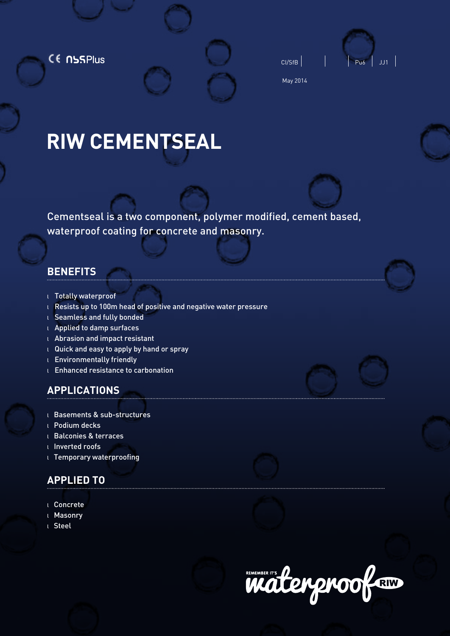CE NSSPlus



May 2014

# **RIW CEMENTSEAL**

Cementseal is a two component, polymer modified, cement based, waterproof coating for concrete and masonry.

# **BENEFITS**

- <sup>l</sup> Totally waterproof
- <sup>l</sup> Resists up to 100m head of positive and negative water pressure
- <sup>l</sup> Seamless and fully bonded
- <sup>l</sup> Applied to damp surfaces
- <sup>l</sup> Abrasion and impact resistant
- <sup>l</sup> Quick and easy to apply by hand or spray
- <sup>l</sup> Environmentally friendly
- <sup>l</sup> Enhanced resistance to carbonation

# **APPLICATIONS**

- l Basements & sub-structures
- l Podium decks
- l Balconies & terraces
- l Inverted roofs
- l Temporary waterproofing

# **APPLIED TO**

- l Concrete
- l Masonry
- l Steel

REAKER IT'S POWER DOOR RIW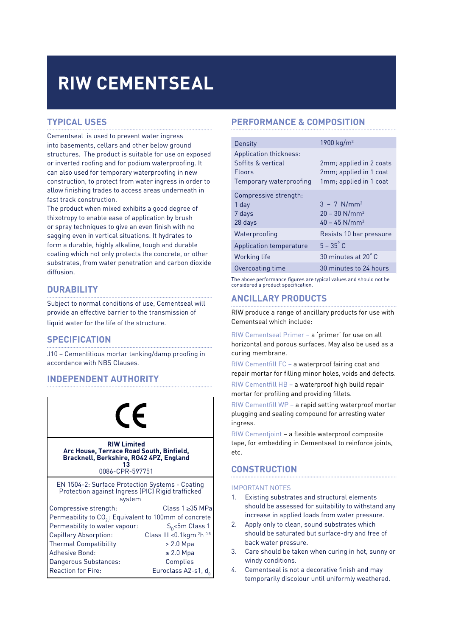# **RIW Cementseal**

## **TYPICAL USES**

Cementseal is used to prevent water ingress into basements, cellars and other below ground structures. The product is suitable for use on exposed or inverted roofing and for podium waterproofing. It can also used for temporary waterproofing in new construction, to protect from water ingress in order to allow finishing trades to access areas underneath in fast track construction.

The product when mixed exhibits a good degree of thixotropy to enable ease of application by brush or spray techniques to give an even finish with no sagging even in vertical situations. It hydrates to form a durable, highly alkaline, tough and durable coating which not only protects the concrete, or other substrates, from water penetration and carbon dioxide diffusion.

## **DURABILITY**

Subject to normal conditions of use, Cementseal will provide an effective barrier to the transmission of liquid water for the life of the structure.

## **SPECIFICATION**

J10 – Cementitious mortar tanking/damp proofing in accordance with NBS Clauses.

## **INDEPENDENT AUTHORITY**



## **PERFORMANCE & COMPOSITION**

| Density                                                                                  | 1900 kg/m <sup>3</sup>                                                                  |
|------------------------------------------------------------------------------------------|-----------------------------------------------------------------------------------------|
| Application thickness:<br>Soffits & vertical<br><b>Floors</b><br>Temporary waterproofing | 2mm; applied in 2 coats<br>2mm; applied in 1 coat<br>1mm; applied in 1 coat             |
| Compressive strength:<br>1 day<br>7 days<br>28 days                                      | $3 - 7$ N/mm <sup>2</sup><br>$20 - 30$ N/mm <sup>2</sup><br>$40 - 45$ N/mm <sup>2</sup> |
| Waterproofing                                                                            | Resists 10 bar pressure                                                                 |
| Application temperature                                                                  | $5 - 35^{\circ}$ C                                                                      |
| Working life                                                                             | 30 minutes at 20°C                                                                      |
| Overcoating time                                                                         | 30 minutes to 24 hours                                                                  |

The above performance figures are typical values and should not be considered a product specification.

## **ANCILLARY PRODUCTS**

RIW produce a range of ancillary products for use with Cementseal which include:

RIW Cementseal Primer – a 'primer' for use on all horizontal and porous surfaces. May also be used as a curing membrane.

RIW Cementfill FC – a waterproof fairing coat and repair mortar for filling minor holes, voids and defects.

RIW Cementfill HB – a waterproof high build repair mortar for profiling and providing fillets.

RIW Cementfill WP – a rapid setting waterproof mortar plugging and sealing compound for arresting water ingress.

RIW Cementjoint – a flexible waterproof composite tape, for embedding in Cementseal to reinforce joints, etc.

## **CONSTRUCTION**

#### IMPORTANT NOTES

- 1. Existing substrates and structural elements should be assessed for suitability to withstand any increase in applied loads from water pressure.
- 2. Apply only to clean, sound substrates which should be saturated but surface-dry and free of back water pressure.
- 3. Care should be taken when curing in hot, sunny or windy conditions.
- 4. Cementseal is not a decorative finish and may temporarily discolour until uniformly weathered.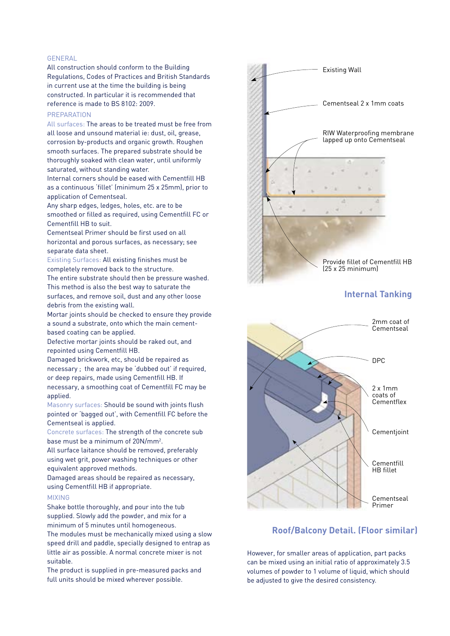#### GENERAL

All construction should conform to the Building Regulations, Codes of Practices and British Standards in current use at the time the building is being constructed. In particular it is recommended that reference is made to BS 8102: 2009.

#### **PREPARATION**

All surfaces: The areas to be treated must be free from all loose and unsound material ie: dust, oil, grease, corrosion by-products and organic growth. Roughen smooth surfaces. The prepared substrate should be thoroughly soaked with clean water, until uniformly saturated, without standing water.

Internal corners should be eased with Cementfill HB as a continuous 'fillet' (minimum 25 x 25mm), prior to application of Cementseal.

Any sharp edges, ledges, holes, etc. are to be smoothed or filled as required, using Cementfill FC or Cementfill HB to suit.

Cementseal Primer should be first used on all horizontal and porous surfaces, as necessary; see separate data sheet.

Existing Surfaces: All existing finishes must be completely removed back to the structure.

The entire substrate should then be pressure washed. This method is also the best way to saturate the surfaces, and remove soil, dust and any other loose debris from the existing wall.

Mortar joints should be checked to ensure they provide a sound a substrate, onto which the main cementbased coating can be applied.

Defective mortar joints should be raked out, and repointed using Cementfill HB.

Damaged brickwork, etc, should be repaired as necessary ; the area may be 'dubbed out' if required, or deep repairs, made using Cementfill HB. If necessary, a smoothing coat of Cementfill FC may be applied.

Masonry surfaces: Should be sound with joints flush pointed or 'bagged out', with Cementfill FC before the Cementseal is applied.

Concrete surfaces: The strength of the concrete sub base must be a minimum of 20N/mm<sup>2</sup>.

All surface laitance should be removed, preferably using wet grit, power washing techniques or other equivalent approved methods.

Damaged areas should be repaired as necessary, using Cementfill HB if appropriate.

#### MIXING

Shake bottle thoroughly, and pour into the tub supplied. Slowly add the powder, and mix for a minimum of 5 minutes until homogeneous.

The modules must be mechanically mixed using a slow speed drill and paddle, specially designed to entrap as little air as possible. A normal concrete mixer is not suitable.

The product is supplied in pre-measured packs and full units should be mixed wherever possible.



## **Internal Tanking**



### **Roof/Balcony Detail. (Floor similar)**

However, for smaller areas of application, part packs can be mixed using an initial ratio of approximately 3.5 volumes of powder to 1 volume of liquid, which should be adjusted to give the desired consistency.